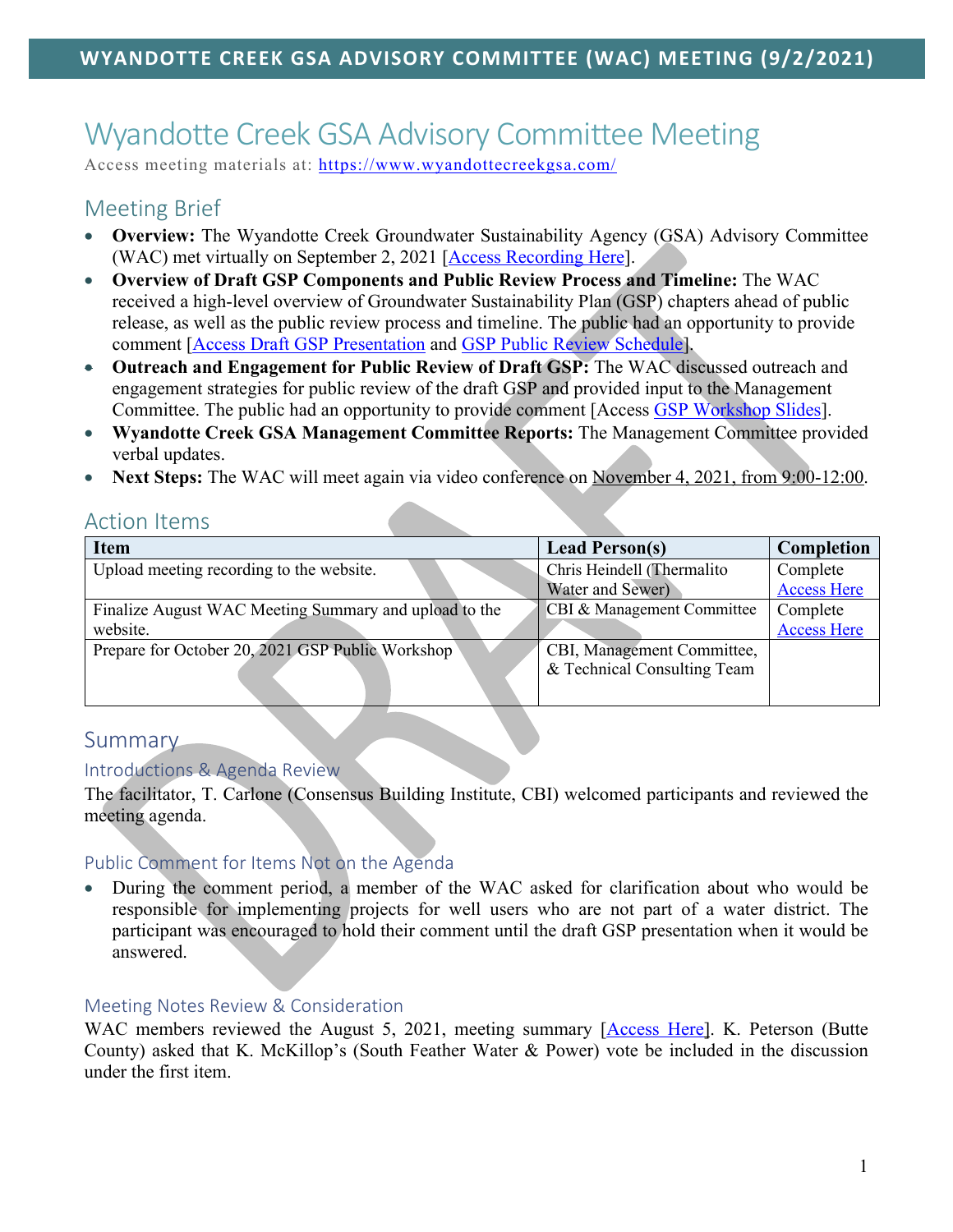# Wyandotte Creek GSA Advisory Committee Meeting

Access meeting materials at: https://www.wyandottecreekgsa.com/

# Meeting Brief

- **Overview:** The Wyandotte Creek Groundwater Sustainability Agency (GSA) Advisory Committee (WAC) met virtually on September 2, 2021 [Access Recording Here].
- **Overview of Draft GSP Components and Public Review Process and Timeline:** The WAC received a high-level overview of Groundwater Sustainability Plan (GSP) chapters ahead of public release, as well as the public review process and timeline. The public had an opportunity to provide comment [Access Draft GSP Presentation and GSP Public Review Schedule].
- **Outreach and Engagement for Public Review of Draft GSP:** The WAC discussed outreach and engagement strategies for public review of the draft GSP and provided input to the Management Committee. The public had an opportunity to provide comment [Access GSP Workshop Slides].
- **Wyandotte Creek GSA Management Committee Reports:** The Management Committee provided verbal updates.
- **Next Steps:** The WAC will meet again via video conference on November 4, 2021, from 9:00-12:00.

## Action Items

| <b>Item</b>                                           | <b>Lead Person(s)</b>       | Completion         |
|-------------------------------------------------------|-----------------------------|--------------------|
| Upload meeting recording to the website.              | Chris Heindell (Thermalito  | Complete           |
|                                                       | Water and Sewer)            | <b>Access Here</b> |
| Finalize August WAC Meeting Summary and upload to the | CBI & Management Committee  | Complete           |
| website.                                              |                             | <b>Access Here</b> |
| Prepare for October 20, 2021 GSP Public Workshop      | CBI, Management Committee,  |                    |
|                                                       | & Technical Consulting Team |                    |
|                                                       |                             |                    |

# Summary

#### Introductions & Agenda Review

The facilitator, T. Carlone (Consensus Building Institute, CBI) welcomed participants and reviewed the meeting agenda.

#### Public Comment for Items Not on the Agenda

• During the comment period, a member of the WAC asked for clarification about who would be responsible for implementing projects for well users who are not part of a water district. The participant was encouraged to hold their comment until the draft GSP presentation when it would be answered.

#### Meeting Notes Review & Consideration

WAC members reviewed the August 5, 2021, meeting summary [Access Here]. K. Peterson (Butte County) asked that K. McKillop's (South Feather Water & Power) vote be included in the discussion under the first item.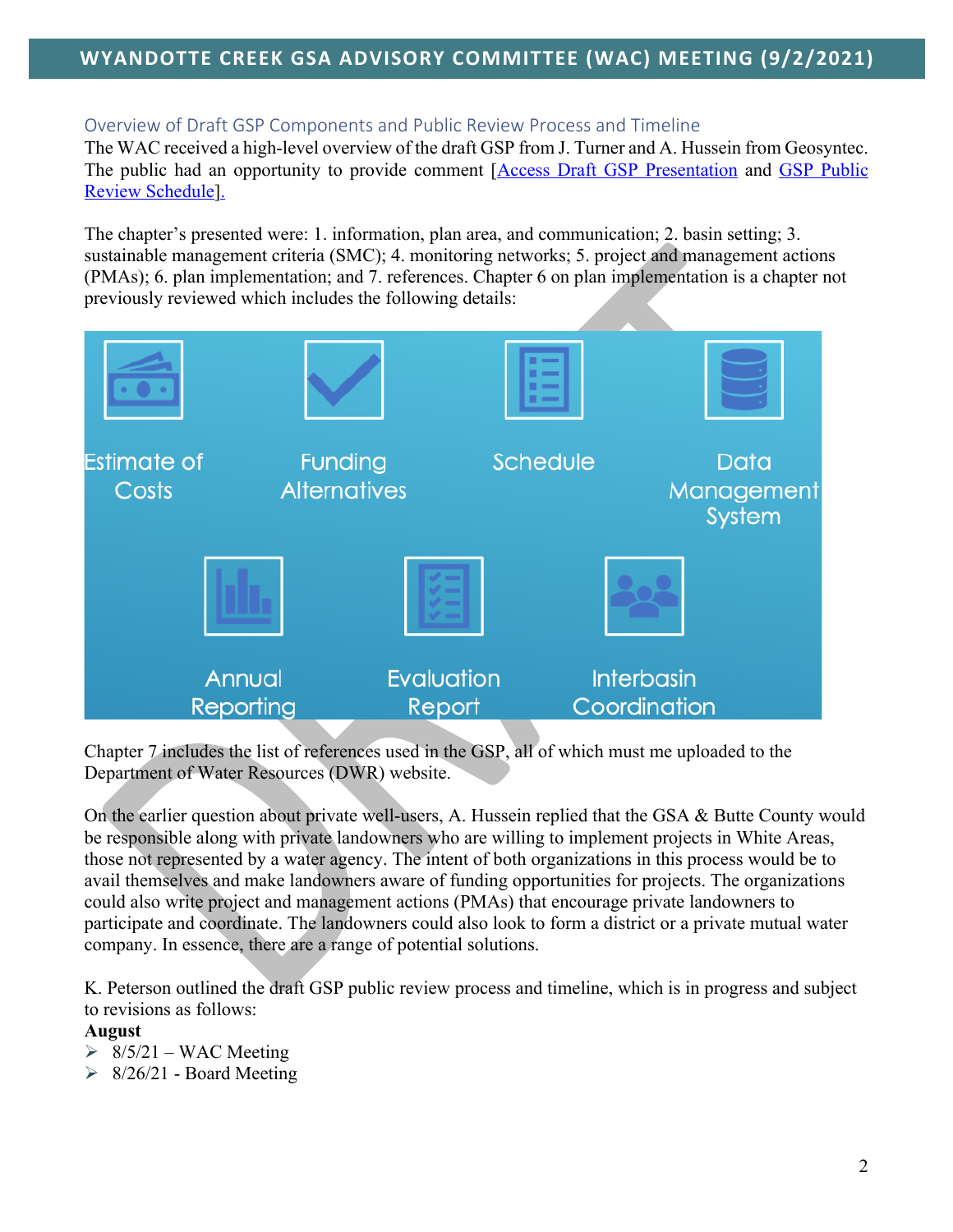## Overview of Draft GSP Components and Public Review Process and Timeline

The WAC received a high-level overview of the draft GSP from J. Turner and A. Hussein from Geosyntec. The public had an opportunity to provide comment [Access Draft GSP Presentation and GSP Public Review Schedule].

The chapter's presented were: 1. information, plan area, and communication; 2. basin setting; 3. sustainable management criteria (SMC); 4. monitoring networks; 5. project and management actions (PMAs); 6. plan implementation; and 7. references. Chapter 6 on plan implementation is a chapter not previously reviewed which includes the following details:



Chapter 7 includes the list of references used in the GSP, all of which must me uploaded to the Department of Water Resources (DWR) website.

On the earlier question about private well-users, A. Hussein replied that the GSA & Butte County would be responsible along with private landowners who are willing to implement projects in White Areas, those not represented by a water agency. The intent of both organizations in this process would be to avail themselves and make landowners aware of funding opportunities for projects. The organizations could also write project and management actions (PMAs) that encourage private landowners to participate and coordinate. The landowners could also look to form a district or a private mutual water company. In essence, there are a range of potential solutions.

K. Peterson outlined the draft GSP public review process and timeline, which is in progress and subject to revisions as follows:

#### **August**

- $\geq 8/5/21 WAC$  Meeting
- $\geq 8/26/21$  Board Meeting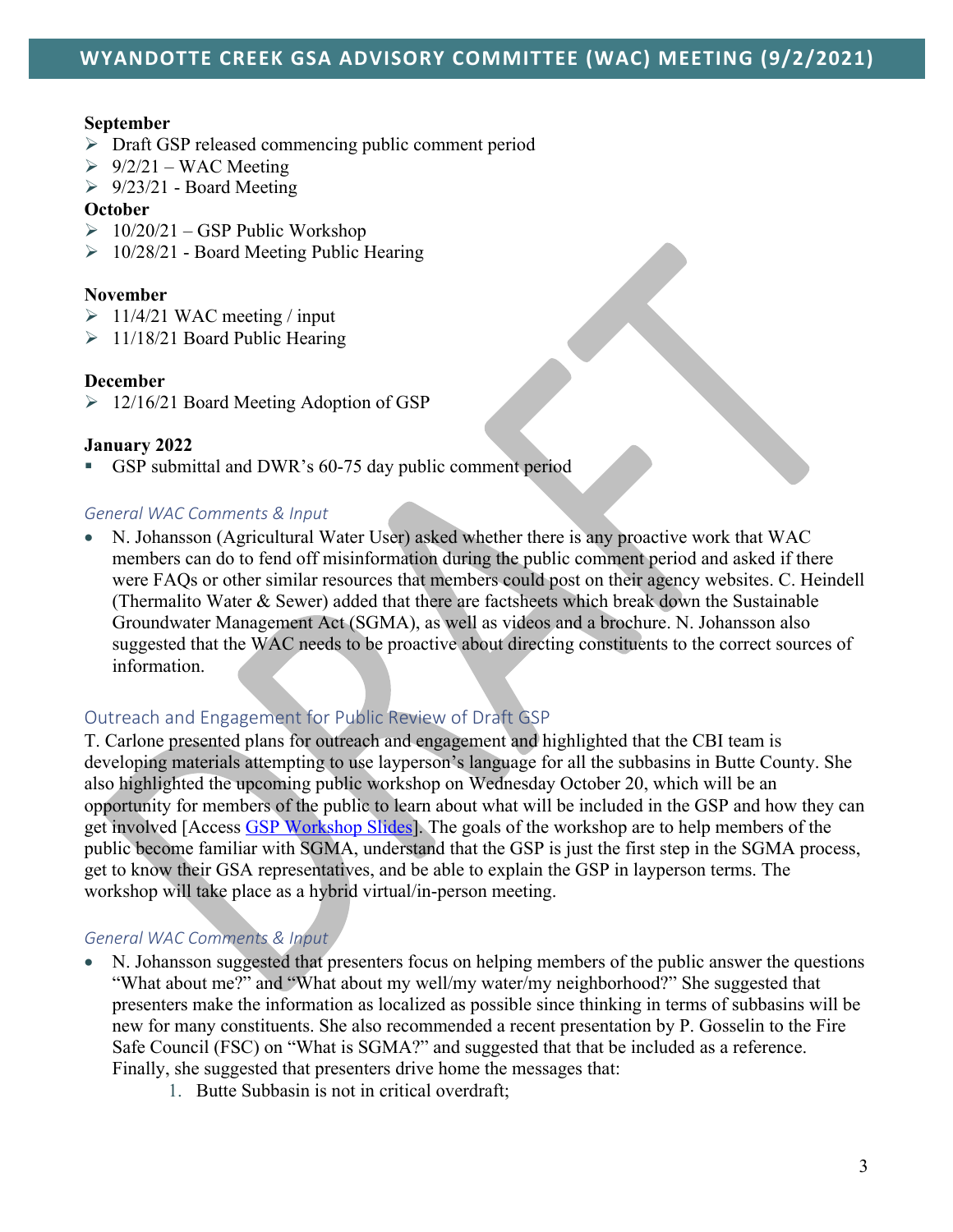#### **September**

- $\triangleright$  Draft GSP released commencing public comment period
- $\geq 9/2/21 WAC$  Meeting
- $\geq 9/23/21$  Board Meeting

#### **October**

- $\geq 10/20/21 GSP$  Public Workshop
- $\geq 10/28/21$  Board Meeting Public Hearing

#### **November**

- $\geq 11/4/21$  WAC meeting / input
- $\geq 11/18/21$  Board Public Hearing

#### **December**

Ø 12/16/21 Board Meeting Adoption of GSP

#### **January 2022**

GSP submittal and DWR's 60-75 day public comment period

#### *General WAC Comments & Input*

• N. Johansson (Agricultural Water User) asked whether there is any proactive work that WAC members can do to fend off misinformation during the public comment period and asked if there were FAQs or other similar resources that members could post on their agency websites. C. Heindell (Thermalito Water & Sewer) added that there are factsheets which break down the Sustainable Groundwater Management Act (SGMA), as well as videos and a brochure. N. Johansson also suggested that the WAC needs to be proactive about directing constituents to the correct sources of information.

#### Outreach and Engagement for Public Review of Draft GSP

T. Carlone presented plans for outreach and engagement and highlighted that the CBI team is developing materials attempting to use layperson's language for all the subbasins in Butte County. She also highlighted the upcoming public workshop on Wednesday October 20, which will be an opportunity for members of the public to learn about what will be included in the GSP and how they can get involved [Access GSP Workshop Slides]. The goals of the workshop are to help members of the public become familiar with SGMA, understand that the GSP is just the first step in the SGMA process, get to know their GSA representatives, and be able to explain the GSP in layperson terms. The workshop will take place as a hybrid virtual/in-person meeting.

#### *General WAC Comments & Input*

- N. Johansson suggested that presenters focus on helping members of the public answer the questions "What about me?" and "What about my well/my water/my neighborhood?" She suggested that presenters make the information as localized as possible since thinking in terms of subbasins will be new for many constituents. She also recommended a recent presentation by P. Gosselin to the Fire Safe Council (FSC) on "What is SGMA?" and suggested that that be included as a reference. Finally, she suggested that presenters drive home the messages that:
	- 1. Butte Subbasin is not in critical overdraft;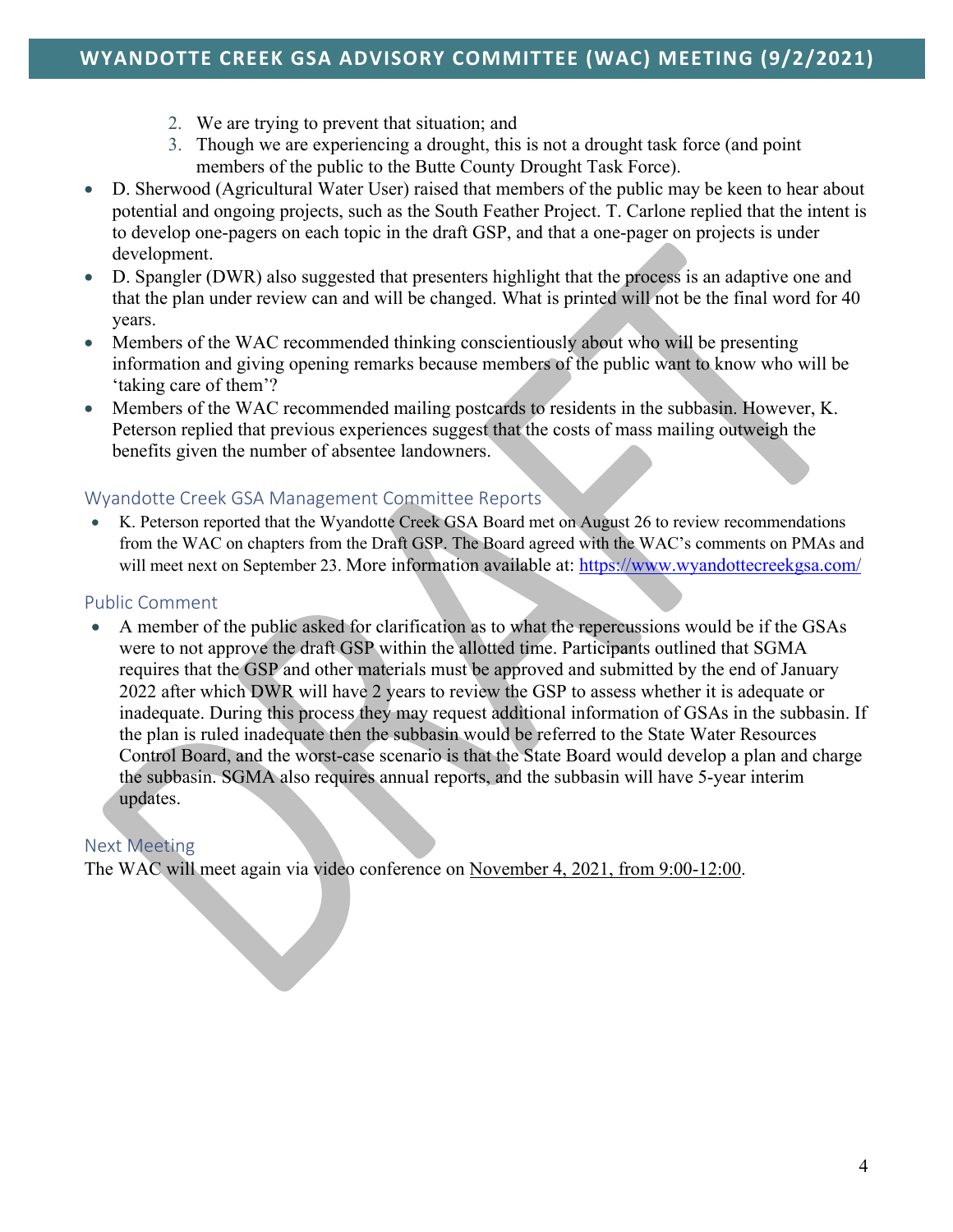- 2. We are trying to prevent that situation; and
- 3. Though we are experiencing a drought, this is not a drought task force (and point members of the public to the Butte County Drought Task Force).
- D. Sherwood (Agricultural Water User) raised that members of the public may be keen to hear about potential and ongoing projects, such as the South Feather Project. T. Carlone replied that the intent is to develop one-pagers on each topic in the draft GSP, and that a one-pager on projects is under development.
- D. Spangler (DWR) also suggested that presenters highlight that the process is an adaptive one and that the plan under review can and will be changed. What is printed will not be the final word for 40 years.
- Members of the WAC recommended thinking conscientiously about who will be presenting information and giving opening remarks because members of the public want to know who will be 'taking care of them'?
- Members of the WAC recommended mailing postcards to residents in the subbasin. However, K. Peterson replied that previous experiences suggest that the costs of mass mailing outweigh the benefits given the number of absentee landowners.

#### Wyandotte Creek GSA Management Committee Reports

K. Peterson reported that the Wyandotte Creek GSA Board met on August 26 to review recommendations from the WAC on chapters from the Draft GSP. The Board agreed with the WAC's comments on PMAs and will meet next on September 23. More information available at: https://www.wyandottecreekgsa.com/

## Public Comment

• A member of the public asked for clarification as to what the repercussions would be if the GSAs were to not approve the draft GSP within the allotted time. Participants outlined that SGMA requires that the GSP and other materials must be approved and submitted by the end of January 2022 after which DWR will have 2 years to review the GSP to assess whether it is adequate or inadequate. During this process they may request additional information of GSAs in the subbasin. If the plan is ruled inadequate then the subbasin would be referred to the State Water Resources Control Board, and the worst-case scenario is that the State Board would develop a plan and charge the subbasin. SGMA also requires annual reports, and the subbasin will have 5-year interim updates.

# Next Meeting

The WAC will meet again via video conference on November 4, 2021, from 9:00-12:00.